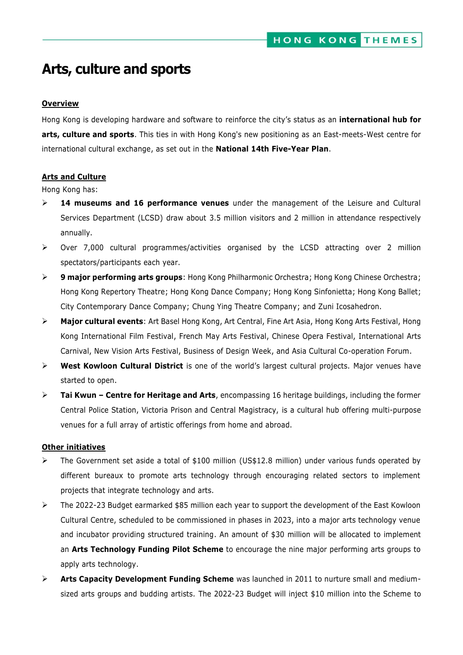# **Arts, culture and sports**

## **Overview**

Hong Kong is developing hardware and software to reinforce the city's status as an **international hub for arts, culture and sports**. This ties in with Hong Kong's new positioning as an East-meets-West centre for international cultural exchange, as set out in the **National 14th Five-Year Plan**.

## **Arts and Culture**

Hong Kong has:

- **14 museums and 16 performance venues** under the management of the Leisure and Cultural Services Department (LCSD) draw about 3.5 million visitors and 2 million in attendance respectively annually.
- $\triangleright$  Over 7,000 cultural programmes/activities organised by the LCSD attracting over 2 million spectators/participants each year.
- **9 major performing arts groups**: Hong Kong Philharmonic Orchestra; Hong Kong Chinese Orchestra; Hong Kong Repertory Theatre; Hong Kong Dance Company; Hong Kong Sinfonietta; Hong Kong Ballet; City Contemporary Dance Company; Chung Ying Theatre Company; and Zuni Icosahedron.
- **Major cultural events**: Art Basel Hong Kong, Art Central, Fine Art Asia, Hong Kong Arts Festival, Hong Kong International Film Festival, French May Arts Festival, Chinese Opera Festival, International Arts Carnival, New Vision Arts Festival, Business of Design Week, and Asia Cultural Co-operation Forum.
- **West Kowloon Cultural District** is one of the world's largest cultural projects. Major venues have started to open.
- **Tai Kwun – Centre for Heritage and Arts**, encompassing 16 heritage buildings, including the former Central Police Station, Victoria Prison and Central Magistracy, is a cultural hub offering multi-purpose venues for a full array of artistic offerings from home and abroad.

## **Other initiatives**

- The Government set aside a total of \$100 million (US\$12.8 million) under various funds operated by different bureaux to promote arts technology through encouraging related sectors to implement projects that integrate technology and arts.
- $\triangleright$  The 2022-23 Budget earmarked \$85 million each year to support the development of the East Kowloon Cultural Centre, scheduled to be commissioned in phases in 2023, into a major arts technology venue and incubator providing structured training. An amount of \$30 million will be allocated to implement an **Arts Technology Funding Pilot Scheme** to encourage the nine major performing arts groups to apply arts technology.
- **Arts Capacity Development Funding Scheme** was launched in 2011 to nurture small and mediumsized arts groups and budding artists. The 2022-23 Budget will inject \$10 million into the Scheme to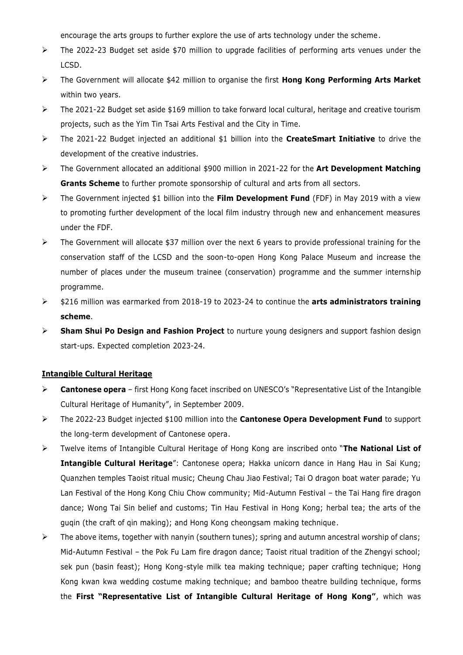encourage the arts groups to further explore the use of arts technology under the scheme.

- The 2022-23 Budget set aside \$70 million to upgrade facilities of performing arts venues under the LCSD.
- The Government will allocate \$42 million to organise the first **Hong Kong Performing Arts Market**  within two years.
- The 2021-22 Budget set aside \$169 million to take forward local cultural, heritage and creative tourism projects, such as the Yim Tin Tsai Arts Festival and the City in Time.
- The 2021-22 Budget injected an additional \$1 billion into the **CreateSmart Initiative** to drive the development of the creative industries.
- The Government allocated an additional \$900 million in 2021-22 for the **Art Development Matching Grants Scheme** to further promote sponsorship of cultural and arts from all sectors.
- The Government injected \$1 billion into the **Film Development Fund** (FDF) in May 2019 with a view to promoting further development of the local film industry through new and enhancement measures under the FDF.
- $\triangleright$  The Government will allocate \$37 million over the next 6 years to provide professional training for the conservation staff of the LCSD and the soon-to-open Hong Kong Palace Museum and increase the number of places under the museum trainee (conservation) programme and the summer internship programme.
- \$216 million was earmarked from 2018-19 to 2023-24 to continue the **arts administrators training scheme**.
- **Sham Shui Po Design and Fashion Project** to nurture young designers and support fashion design start-ups. Expected completion 2023-24.

## **Intangible Cultural Heritage**

- **Cantonese opera** first Hong Kong facet inscribed on UNESCO's "Representative List of the Intangible Cultural Heritage of Humanity", in September 2009.
- The 2022-23 Budget injected \$100 million into the **Cantonese Opera Development Fund** to support the long-term development of Cantonese opera.
- Twelve items of Intangible Cultural Heritage of Hong Kong are inscribed onto "**The National List of Intangible Cultural Heritage**": Cantonese opera; Hakka unicorn dance in Hang Hau in Sai Kung; Quanzhen temples Taoist ritual music; Cheung Chau Jiao Festival; Tai O dragon boat water parade; Yu Lan Festival of the Hong Kong Chiu Chow community; Mid-Autumn Festival – the Tai Hang fire dragon dance; Wong Tai Sin belief and customs; Tin Hau Festival in Hong Kong; herbal tea; the arts of the guqin (the craft of qin making); and Hong Kong cheongsam making technique.
- $\triangleright$  The above items, together with nanyin (southern tunes); spring and autumn ancestral worship of clans; Mid-Autumn Festival – the Pok Fu Lam fire dragon dance; Taoist ritual tradition of the Zhengyi school; sek pun (basin feast); Hong Kong-style milk tea making technique; paper crafting technique; Hong Kong kwan kwa wedding costume making technique; and bamboo theatre building technique, forms the **First "Representative List of Intangible Cultural Heritage of Hong Kong"**, which was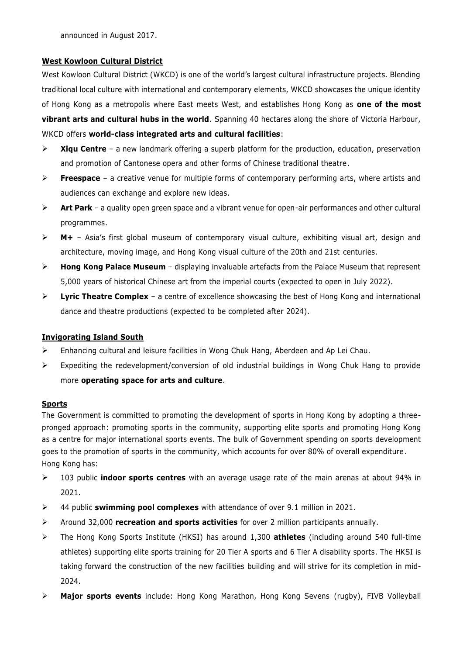announced in August 2017.

## **West Kowloon Cultural District**

West Kowloon Cultural District (WKCD) is one of the world's largest cultural infrastructure projects. Blending traditional local culture with international and contemporary elements, WKCD showcases the unique identity of Hong Kong as a metropolis where East meets West, and establishes Hong Kong as **one of the most vibrant arts and cultural hubs in the world**. Spanning 40 hectares along the shore of Victoria Harbour, WKCD offers **world-class integrated arts and cultural facilities**:

- **Xiqu Centre** a new landmark offering a superb platform for the production, education, preservation and promotion of Cantonese opera and other forms of Chinese traditional theatre.
- **Freespace** a creative venue for multiple forms of contemporary performing arts, where artists and audiences can exchange and explore new ideas.
- **Art Park** a quality open green space and a vibrant venue for open-air performances and other cultural programmes.
- **M+** Asia's first global museum of contemporary visual culture, exhibiting visual art, design and architecture, moving image, and Hong Kong visual culture of the 20th and 21st centuries.
- **Hong Kong Palace Museum** displaying invaluable artefacts from the Palace Museum that represent 5,000 years of historical Chinese art from the imperial courts (expected to open in July 2022).
- $\triangleright$  Lyric Theatre Complex a centre of excellence showcasing the best of Hong Kong and international dance and theatre productions (expected to be completed after 2024).

## **Invigorating Island South**

- Enhancing cultural and leisure facilities in Wong Chuk Hang, Aberdeen and Ap Lei Chau.
- $\triangleright$  Expediting the redevelopment/conversion of old industrial buildings in Wong Chuk Hang to provide more **operating space for arts and culture**.

## **Sports**

The Government is committed to promoting the development of sports in Hong Kong by adopting a threepronged approach: promoting sports in the community, supporting elite sports and promoting Hong Kong as a centre for major international sports events. The bulk of Government spending on sports development goes to the promotion of sports in the community, which accounts for over 80% of overall expenditure. Hong Kong has:

- 103 public **indoor sports centres** with an average usage rate of the main arenas at about 94% in 2021.
- 44 public **swimming pool complexes** with attendance of over 9.1 million in 2021.
- Around 32,000 **recreation and sports activities** for over 2 million participants annually.
- The Hong Kong Sports Institute (HKSI) has around 1,300 **athletes** (including around 540 full-time athletes) supporting elite sports training for 20 Tier A sports and 6 Tier A disability sports. The HKSI is taking forward the construction of the new facilities building and will strive for its completion in mid-2024.
- **Major sports events** include: Hong Kong Marathon, Hong Kong Sevens (rugby), FIVB Volleyball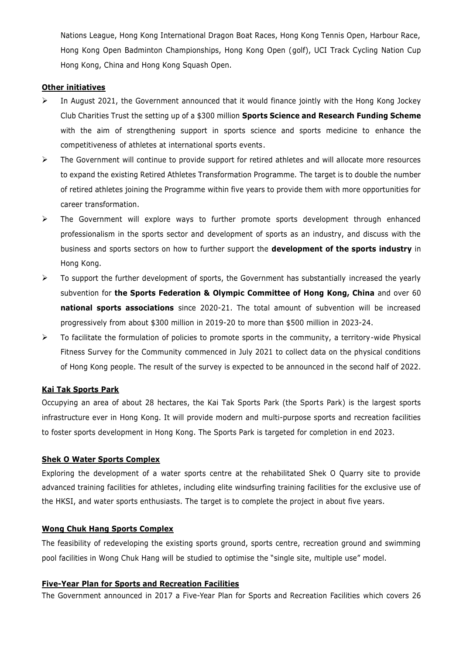Nations League, Hong Kong International Dragon Boat Races, Hong Kong Tennis Open, Harbour Race, Hong Kong Open Badminton Championships, Hong Kong Open (golf), UCI Track Cycling Nation Cup Hong Kong, China and Hong Kong Squash Open.

#### **Other initiatives**

- $\triangleright$  In August 2021, the Government announced that it would finance jointly with the Hong Kong Jockey Club Charities Trust the setting up of a \$300 million **Sports Science and Research Funding Scheme** with the aim of strengthening support in sports science and sports medicine to enhance the competitiveness of athletes at international sports events.
- $\triangleright$  The Government will continue to provide support for retired athletes and will allocate more resources to expand the existing Retired Athletes Transformation Programme. The target is to double the number of retired athletes joining the Programme within five years to provide them with more opportunities for career transformation.
- $\triangleright$  The Government will explore ways to further promote sports development through enhanced professionalism in the sports sector and development of sports as an industry, and discuss with the business and sports sectors on how to further support the **development of the sports industry** in Hong Kong.
- $\triangleright$  To support the further development of sports, the Government has substantially increased the yearly subvention for **the Sports Federation & Olympic Committee of Hong Kong, China** and over 60 **national sports associations** since 2020-21. The total amount of subvention will be increased progressively from about \$300 million in 2019-20 to more than \$500 million in 2023-24.
- $\triangleright$  To facilitate the formulation of policies to promote sports in the community, a territory-wide Physical Fitness Survey for the Community commenced in July 2021 to collect data on the physical conditions of Hong Kong people. The result of the survey is expected to be announced in the second half of 2022.

#### **Kai Tak Sports Park**

Occupying an area of about 28 hectares, the Kai Tak Sports Park (the Sports Park) is the largest sports infrastructure ever in Hong Kong. It will provide modern and multi-purpose sports and recreation facilities to foster sports development in Hong Kong. The Sports Park is targeted for completion in end 2023.

## **Shek O Water Sports Complex**

Exploring the development of a water sports centre at the rehabilitated Shek O Quarry site to provide advanced training facilities for athletes, including elite windsurfing training facilities for the exclusive use of the HKSI, and water sports enthusiasts. The target is to complete the project in about five years.

#### **Wong Chuk Hang Sports Complex**

The feasibility of redeveloping the existing sports ground, sports centre, recreation ground and swimming pool facilities in Wong Chuk Hang will be studied to optimise the "single site, multiple use" model.

#### **Five-Year Plan for Sports and Recreation Facilities**

The Government announced in 2017 a Five-Year Plan for Sports and Recreation Facilities which covers 26